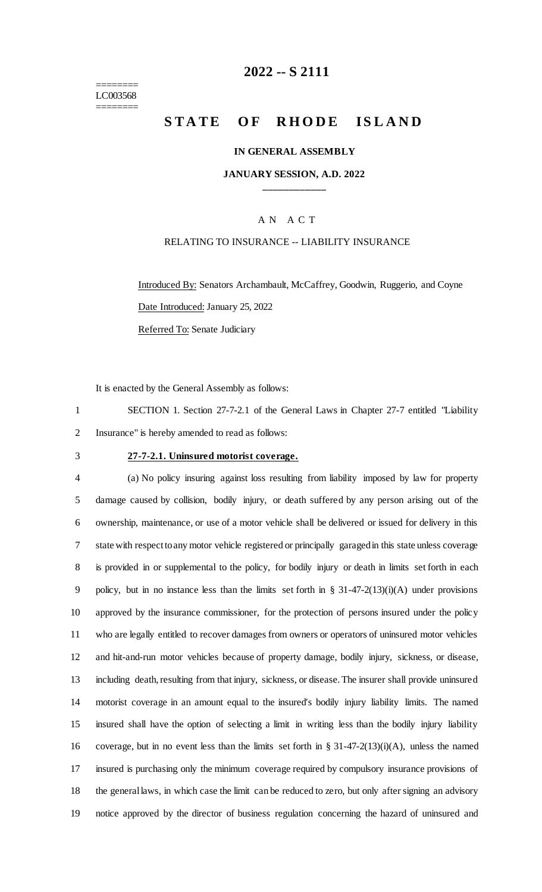======== LC003568 ========

## **-- S 2111**

# **STATE OF RHODE ISLAND**

### **IN GENERAL ASSEMBLY**

### **JANUARY SESSION, A.D. 2022 \_\_\_\_\_\_\_\_\_\_\_\_**

### A N A C T

### RELATING TO INSURANCE -- LIABILITY INSURANCE

Introduced By: Senators Archambault, McCaffrey, Goodwin, Ruggerio, and Coyne Date Introduced: January 25, 2022 Referred To: Senate Judiciary

It is enacted by the General Assembly as follows:

 SECTION 1. Section 27-7-2.1 of the General Laws in Chapter 27-7 entitled "Liability Insurance" is hereby amended to read as follows:

## **27-7-2.1. Uninsured motorist coverage.**

 (a) No policy insuring against loss resulting from liability imposed by law for property damage caused by collision, bodily injury, or death suffered by any person arising out of the ownership, maintenance, or use of a motor vehicle shall be delivered or issued for delivery in this state with respect to any motor vehicle registered or principally garaged in this state unless coverage is provided in or supplemental to the policy, for bodily injury or death in limits set forth in each policy, but in no instance less than the limits set forth in § 31-47-2(13)(i)(A) under provisions approved by the insurance commissioner, for the protection of persons insured under the policy who are legally entitled to recover damages from owners or operators of uninsured motor vehicles and hit-and-run motor vehicles because of property damage, bodily injury, sickness, or disease, including death, resulting from that injury, sickness, or disease. The insurer shall provide uninsured motorist coverage in an amount equal to the insured's bodily injury liability limits. The named insured shall have the option of selecting a limit in writing less than the bodily injury liability coverage, but in no event less than the limits set forth in § 31-47-2(13)(i)(A), unless the named insured is purchasing only the minimum coverage required by compulsory insurance provisions of the general laws, in which case the limit can be reduced to zero, but only after signing an advisory notice approved by the director of business regulation concerning the hazard of uninsured and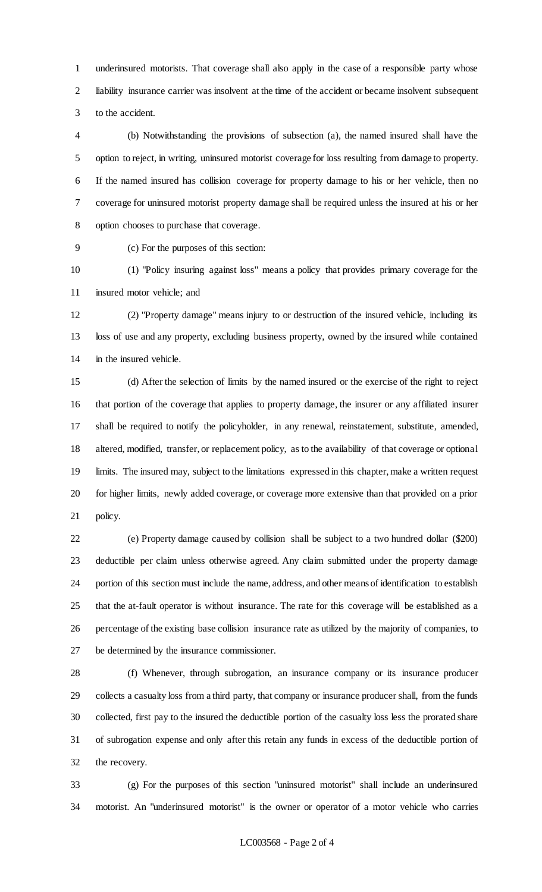underinsured motorists. That coverage shall also apply in the case of a responsible party whose liability insurance carrier was insolvent at the time of the accident or became insolvent subsequent to the accident.

 (b) Notwithstanding the provisions of subsection (a), the named insured shall have the option to reject, in writing, uninsured motorist coverage for loss resulting from damage to property. If the named insured has collision coverage for property damage to his or her vehicle, then no coverage for uninsured motorist property damage shall be required unless the insured at his or her option chooses to purchase that coverage.

(c) For the purposes of this section:

 (1) "Policy insuring against loss" means a policy that provides primary coverage for the insured motor vehicle; and

 (2) "Property damage" means injury to or destruction of the insured vehicle, including its loss of use and any property, excluding business property, owned by the insured while contained in the insured vehicle.

 (d) After the selection of limits by the named insured or the exercise of the right to reject that portion of the coverage that applies to property damage, the insurer or any affiliated insurer shall be required to notify the policyholder, in any renewal, reinstatement, substitute, amended, altered, modified, transfer, or replacement policy, as to the availability of that coverage or optional limits. The insured may, subject to the limitations expressed in this chapter, make a written request for higher limits, newly added coverage, or coverage more extensive than that provided on a prior policy.

 (e) Property damage caused by collision shall be subject to a two hundred dollar (\$200) deductible per claim unless otherwise agreed. Any claim submitted under the property damage portion of this section must include the name, address, and other means of identification to establish that the at-fault operator is without insurance. The rate for this coverage will be established as a percentage of the existing base collision insurance rate as utilized by the majority of companies, to be determined by the insurance commissioner.

 (f) Whenever, through subrogation, an insurance company or its insurance producer collects a casualty loss from a third party, that company or insurance producer shall, from the funds collected, first pay to the insured the deductible portion of the casualty loss less the prorated share of subrogation expense and only after this retain any funds in excess of the deductible portion of the recovery.

 (g) For the purposes of this section "uninsured motorist" shall include an underinsured motorist. An "underinsured motorist" is the owner or operator of a motor vehicle who carries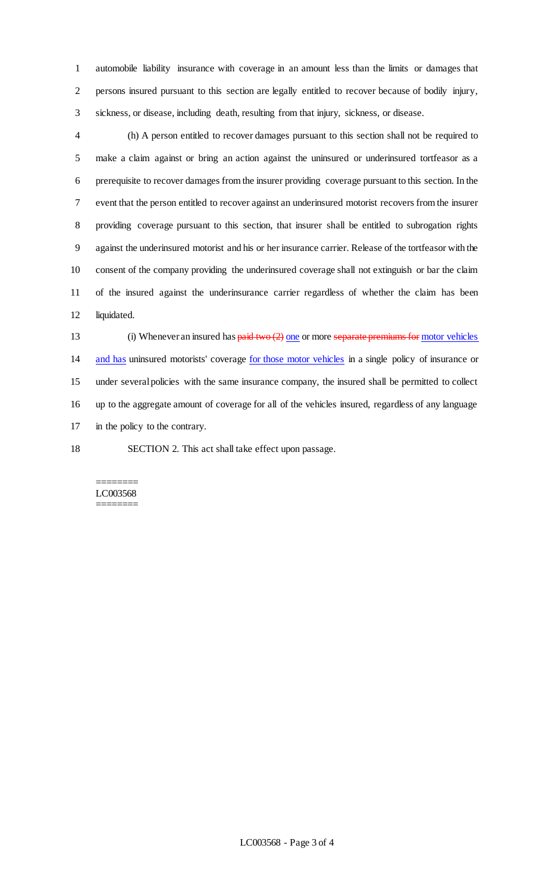automobile liability insurance with coverage in an amount less than the limits or damages that persons insured pursuant to this section are legally entitled to recover because of bodily injury, sickness, or disease, including death, resulting from that injury, sickness, or disease.

 (h) A person entitled to recover damages pursuant to this section shall not be required to make a claim against or bring an action against the uninsured or underinsured tortfeasor as a prerequisite to recover damages from the insurer providing coverage pursuant to this section. In the event that the person entitled to recover against an underinsured motorist recovers from the insurer providing coverage pursuant to this section, that insurer shall be entitled to subrogation rights against the underinsured motorist and his or her insurance carrier. Release of the tortfeasor with the consent of the company providing the underinsured coverage shall not extinguish or bar the claim of the insured against the underinsurance carrier regardless of whether the claim has been liquidated.

13 (i) Whenever an insured has  $\frac{\text{paid two (2) one}}{\text{one}}$  or more separate premiums for motor vehicles and has uninsured motorists' coverage for those motor vehicles in a single policy of insurance or under several policies with the same insurance company, the insured shall be permitted to collect up to the aggregate amount of coverage for all of the vehicles insured, regardless of any language in the policy to the contrary.

SECTION 2. This act shall take effect upon passage.

#### ======== LC003568 ========